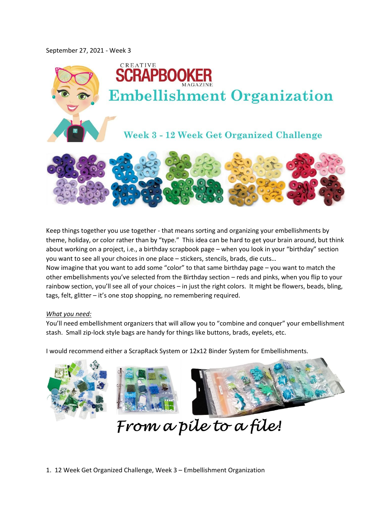## September 27, 2021 - Week 3



Keep things together you use together - that means sorting and organizing your embellishments by theme, holiday, or color rather than by "type." This idea can be hard to get your brain around, but think about working on a project, i.e., a birthday scrapbook page – when you look in your "birthday" section you want to see all your choices in one place – stickers, stencils, brads, die cuts…

Now imagine that you want to add some "color" to that same birthday page – you want to match the other embellishments you've selected from the Birthday section – reds and pinks, when you flip to your rainbow section, you'll see all of your choices – in just the right colors. It might be flowers, beads, bling, tags, felt, glitter – it's one stop shopping, no remembering required.

## *What you need:*

You'll need embellishment organizers that will allow you to "combine and conquer" your embellishment stash. Small zip-lock style bags are handy for things like buttons, brads, eyelets, etc.

I would recommend either a ScrapRack System or 12x12 Binder System for Embellishments.



1. 12 Week Get Organized Challenge, Week 3 – Embellishment Organization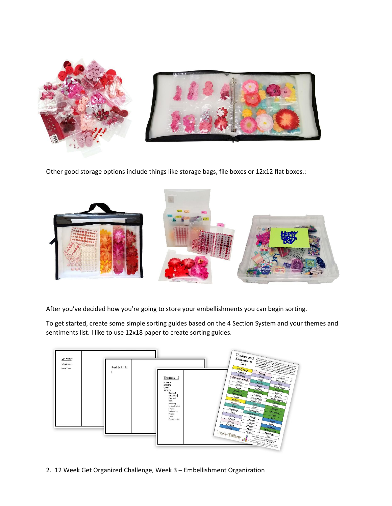

Other good storage options include things like storage bags, file boxes or 12x12 flat boxes.:



After you've decided how you're going to store your embellishments you can begin sorting.

To get started, create some simple sorting guides based on the 4 Section System and your themes and sentiments list. I like to use 12x18 paper to create sorting guides.



2. 12 Week Get Organized Challenge, Week 3 – Embellishment Organization